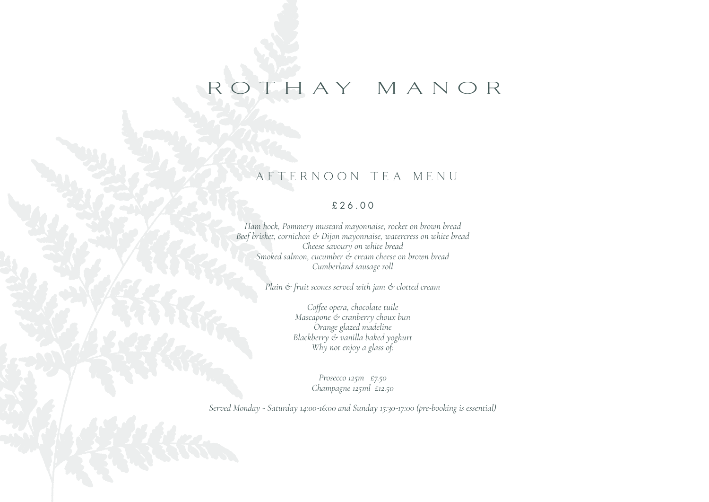# ROTHAY MANOR

## AFTERNOON TEA MENU

### £26.00

*Ham hock, Pommery mustard mayonnaise, rocket on brown bread Beef brisket, cornichon & Dijon mayonnaise, watercress on white bread Cheese savoury on white bread Smoked salmon, cucumber & cream cheese on brown bread Cumberland sausage roll*

*Plain & fruit scones served with jam & clotted cream*

*Coffee opera, chocolate tuile Mascapone & cranberry choux bun Orange glazed madeline Blackberry & vanilla baked yoghurt Why not enjoy a glass of:*

> *Prosecco 125m £7.50 Champagne 125ml £12.50*

*Served Monday - Saturday 14:00-16:00 and Sunday 15:30-17:00 (pre-booking is essential)*